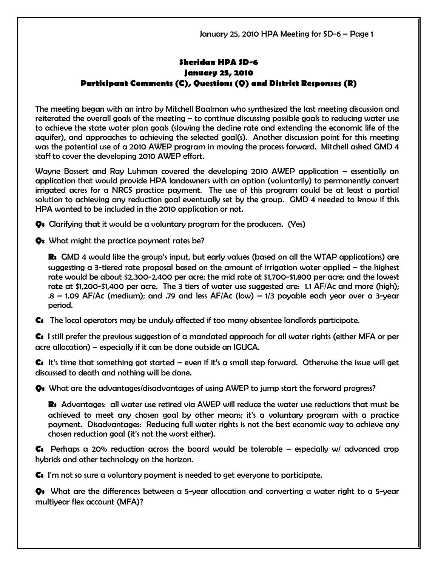## Sheridan HPA SD-6 January 25, 2010 Participant Comments (C), Questions (Q) and District Responses (R)

The meeting began with an intro by Mitchell Baalman who synthesized the last meeting discussion and reiterated the overall goals of the meeting – to continue discussing possible goals to reducing water use to achieve the state water plan goals (slowing the decline rate and extending the economic life of the aquifer), and approaches to achieving the selected goal(s). Another discussion point for this meeting was the potential use of a 2010 AWEP program in moving the process forward. Mitchell asked GMD 4 staff to cover the developing 2010 AWEP effort.

Wayne Bossert and Ray Luhman covered the developing 2010 AWEP application – essentially an application that would provide HPA landowners with an option (voluntarily) to permanently convert irrigated acres for a NRCS practice payment. The use of this program could be at least a partial solution to achieving any reduction goal eventually set by the group. GMD 4 needed to know if this HPA wanted to be included in the 2010 application or not.

Q: Clarifying that it would be a voluntary program for the producers. (Yes)

Q: What might the practice payment rates be?

R: GMD 4 would like the group's input, but early values (based on all the WTAP applications) are suggesting a 3-tiered rate proposal based on the amount of irrigation water applied – the highest rate would be about \$2,300-2,400 per acre; the mid rate at \$1,700-\$1,800 per acre; and the lowest rate at \$1,200-\$1,400 per acre. The 3 tiers of water use suggested are: 1.1 AF/Ac and more (high); .8 – 1.09 AF/Ac (medium); and .79 and less AF/Ac (low) – 1/3 payable each year over a 3-year period.

C: The local operators may be unduly affected if too many absentee landlords participate.

C: I still prefer the previous suggestion of a mandated approach for all water rights (either MFA or per acre allocation) – especially if it can be done outside an IGUCA.

 $\mathsf{C}\mathsf{s}\;$  It's time that something got started – even if it's a small step forward. Otherwise the issue will get discussed to death and nothing will be done.

Q: What are the advantages/disadvantages of using AWEP to jump start the forward progress?

R: Advantages: all water use retired via AWEP will reduce the water use reductions that must be achieved to meet any chosen goal by other means; it's a voluntary program with a practice payment. Disadvantages: Reducing full water rights is not the best economic way to achieve any chosen reduction goal (it's not the worst either).

**C:** Perhaps a 20% reduction across the board would be tolerable – especially w/ advanced crop hybrids and other technology on the horizon.

C: I'm not so sure a voluntary payment is needed to get everyone to participate.

Q: What are the differences between a 5-year allocation and converting a water right to a 5-year multiyear flex account (MFA)?